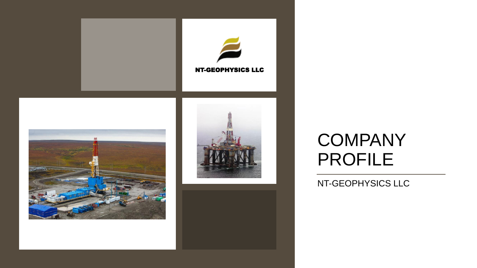

# **COMPANY** PROFILE

NT-GEOPHYSICS LLC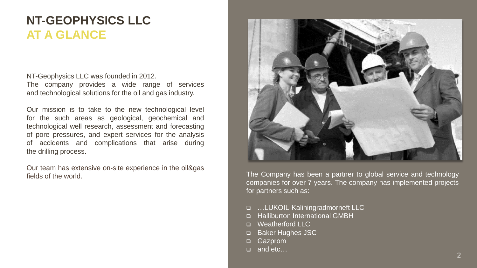# **NT-GEOPHYSICS LLC AT A GLANCE**

NT-Geophysics LLC was founded in 2012. The company provides a wide range of services and technological solutions for the oil and gas industry.

Our mission is to take to the new technological level for the such areas as geological, geochemical and technological well research, assessment and forecasting of pore pressures, and expert services for the analysis of accidents and complications that arise during the drilling process.

Our team has extensive on-site experience in the oil&gas fields of the world.



The Company has been a partner to global service and technology companies for over 7 years. The company has implemented projects for partners such as:

- □ …LUKOIL-Kaliningradmorneft LLC
- Halliburton International GMBH
- **D** Weatherford LLC
- □ Baker Hughes JSC
- □ Gazprom
- □ and etc…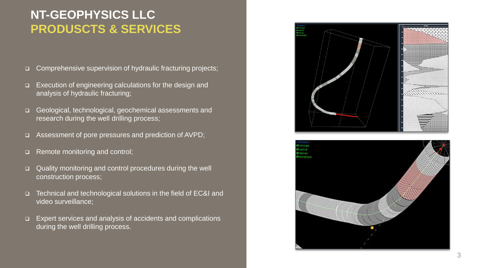### **NT-GEOPHYSICS LLC PRODUSCTS & SERVICES**

- □ Comprehensive supervision of hydraulic fracturing projects;
- □ Execution of engineering calculations for the design and analysis of hydraulic fracturing;
- □ Geological, technological, geochemical assessments and research during the well drilling process;
- Assessment of pore pressures and prediction of AVPD;
- □ Remote monitoring and control;
- □ Quality monitoring and control procedures during the well construction process;
- □ Technical and technological solutions in the field of EC&I and video surveillance;
- □ Expert services and analysis of accidents and complications during the well drilling process.



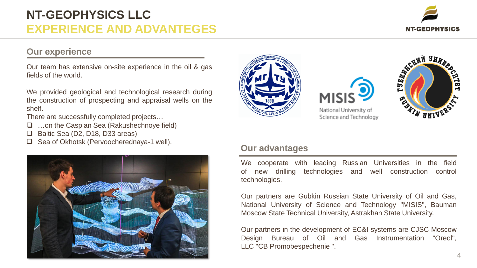# **NT-GEOPHYSICS LLC EXPERIENCE AND ADVANTEGES**



#### **Our experience**

Our team has extensive on-site experience in the oil & gas fields of the world.

We provided geological and technological research during the construction of prospecting and appraisal wells on the shelf.

There are successfully completed projects…

- □ …on the Caspian Sea (Rakushechnoye field)
- □ Baltic Sea (D2, D18, D33 areas)
- Sea of Okhotsk (Pervoocherednaya-1 well).







National University of Science and Technology



#### **Our advantages**

We cooperate with leading Russian Universities in the field of new drilling technologies and well construction control technologies.

Our partners are Gubkin Russian State University of Oil and Gas, National University of Science and Technology "MISIS", Bauman Moscow State Technical University, Astrakhan State University.

Our partners in the development of EC&I systems are CJSC Moscow Design Bureau of Oil and Gas Instrumentation "Oreol", LLC "CB Promobespechenie ".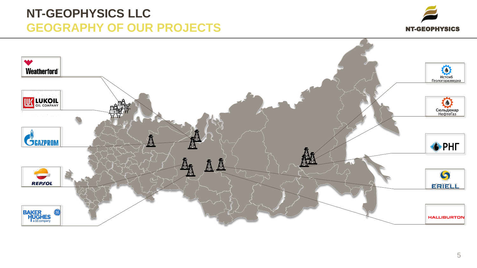### **NT-GEOPHYSICS LLC GEOGRAPHY OF OUR PROJECTS**